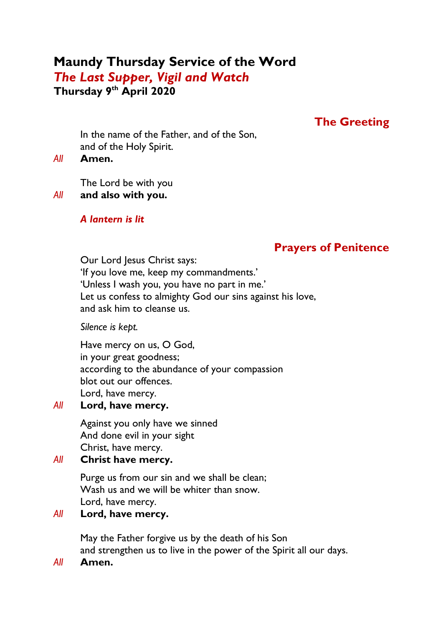# **Maundy Thursday Service of the Word**

*The Last Supper, Vigil and Watch* **Thursday 9th April 2020**

## **The Greeting**

In the name of the Father, and of the Son, and of the Holy Spirit.

#### *All* **Amen.**

The Lord be with you

### *All* **and also with you.**

#### *A lantern is lit*

## **Prayers of Penitence**

Our Lord Jesus Christ says: 'If you love me, keep my commandments.' 'Unless I wash you, you have no part in me.' Let us confess to almighty God our sins against his love, and ask him to cleanse us.

*Silence is kept.*

Have mercy on us, O God, in your great goodness; according to the abundance of your compassion blot out our offences. Lord, have mercy.

### *All* **Lord, have mercy.**

Against you only have we sinned And done evil in your sight Christ, have mercy.

### *All* **Christ have mercy.**

Purge us from our sin and we shall be clean; Wash us and we will be whiter than snow. Lord, have mercy.

### *All* **Lord, have mercy.**

May the Father forgive us by the death of his Son and strengthen us to live in the power of the Spirit all our days.

*All* **Amen.**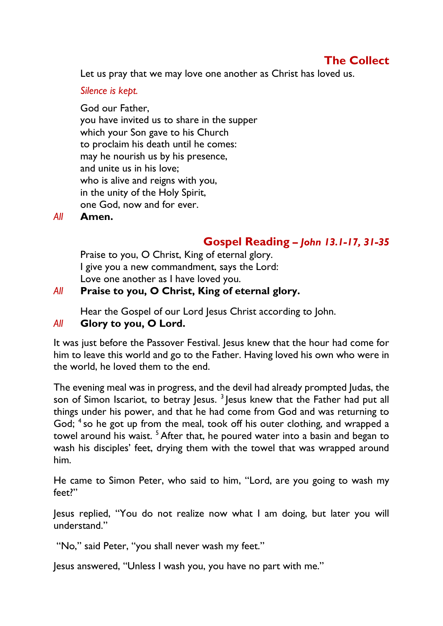### **The Collect**

Let us pray that we may love one another as Christ has loved us.

*Silence is kept.*

God our Father,

you have invited us to share in the supper which your Son gave to his Church to proclaim his death until he comes: may he nourish us by his presence, and unite us in his love; who is alive and reigns with you, in the unity of the Holy Spirit, one God, now and for ever.

#### *All* **Amen.**

## **Gospel Reading** *– John 13.1-17, 31-35*

Praise to you, O Christ, King of eternal glory. I give you a new commandment, says the Lord: Love one another as I have loved you.

### *All* **Praise to you, O Christ, King of eternal glory.**

Hear the Gospel of our Lord Jesus Christ according to John.

### *All* **Glory to you, O Lord.**

It was just before the Passover Festival. Jesus knew that the hour had come for him to leave this world and go to the Father. Having loved his own who were in the world, he loved them to the end.

The evening meal was in progress, and the devil had already prompted Judas, the son of Simon Iscariot, to betray Jesus.  $3$  Jesus knew that the Father had put all things under his power, and that he had come from God and was returning to God; <sup>4</sup> so he got up from the meal, took off his outer clothing, and wrapped a towel around his waist.<sup>5</sup> After that, he poured water into a basin and began to wash his disciples' feet, drying them with the towel that was wrapped around him.

He came to Simon Peter, who said to him, "Lord, are you going to wash my feet?"

Jesus replied, "You do not realize now what I am doing, but later you will understand."

"No," said Peter, "you shall never wash my feet."

Jesus answered, "Unless I wash you, you have no part with me."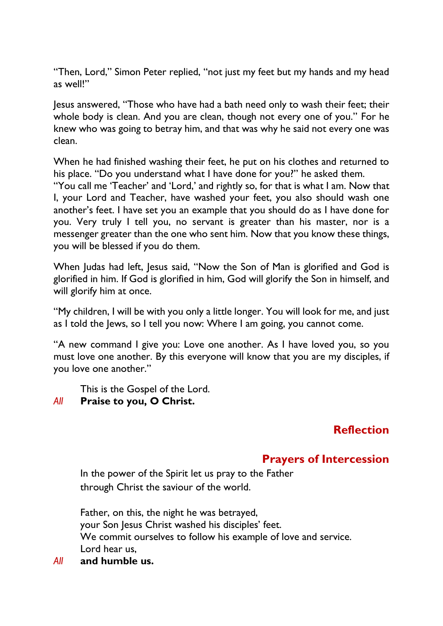"Then, Lord," Simon Peter replied, "not just my feet but my hands and my head as well!"

Jesus answered, "Those who have had a bath need only to wash their feet; their whole body is clean. And you are clean, though not every one of you." For he knew who was going to betray him, and that was why he said not every one was clean.

When he had finished washing their feet, he put on his clothes and returned to his place. "Do you understand what I have done for you?" he asked them.

"You call me 'Teacher' and 'Lord,' and rightly so, for that is what I am. Now that I, your Lord and Teacher, have washed your feet, you also should wash one another's feet. I have set you an example that you should do as I have done for you. Very truly I tell you, no servant is greater than his master, nor is a messenger greater than the one who sent him. Now that you know these things, you will be blessed if you do them.

When Judas had left, Jesus said, "Now the Son of Man is glorified and God is glorified in him. If God is glorified in him, God will glorify the Son in himself, and will glorify him at once.

"My children, I will be with you only a little longer. You will look for me, and just as I told the Jews, so I tell you now: Where I am going, you cannot come.

"A new command I give you: Love one another. As I have loved you, so you must love one another. By this everyone will know that you are my disciples, if you love one another."

This is the Gospel of the Lord.

### *All* **Praise to you, O Christ.**

## **Reflection**

### **Prayers of Intercession**

In the power of the Spirit let us pray to the Father through Christ the saviour of the world.

Father, on this, the night he was betrayed, your Son Jesus Christ washed his disciples' feet. We commit ourselves to follow his example of love and service. Lord hear us,

*All* **and humble us.**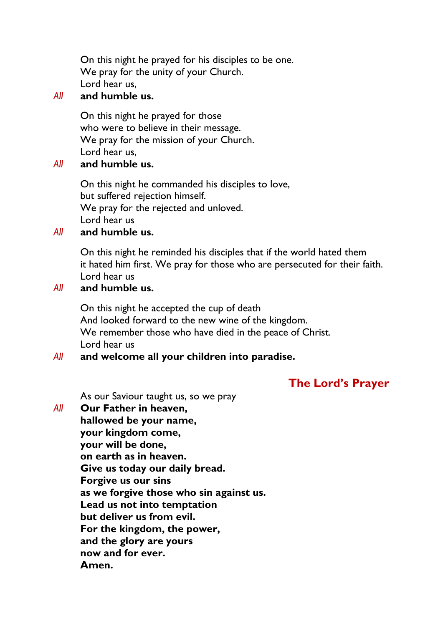On this night he prayed for his disciples to be one. We pray for the unity of your Church. Lord hear us,

#### *All* **and humble us.**

On this night he prayed for those who were to believe in their message. We pray for the mission of your Church. Lord hear us,

#### *All* **and humble us.**

On this night he commanded his disciples to love, but suffered rejection himself. We pray for the rejected and unloved. Lord hear us

#### *All* **and humble us.**

On this night he reminded his disciples that if the world hated them it hated him first. We pray for those who are persecuted for their faith. Lord hear us

#### *All* **and humble us.**

On this night he accepted the cup of death And looked forward to the new wine of the kingdom. We remember those who have died in the peace of Christ. Lord hear us

#### *All* **and welcome all your children into paradise.**

### **The Lord's Prayer**

As our Saviour taught us, so we pray

*All* **Our Father in heaven, hallowed be your name, your kingdom come, your will be done, on earth as in heaven. Give us today our daily bread. Forgive us our sins as we forgive those who sin against us. Lead us not into temptation but deliver us from evil. For the kingdom, the power, and the glory are yours now and for ever. Amen.**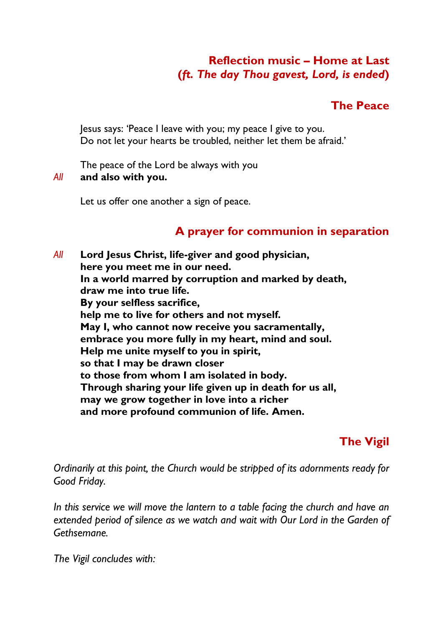### **Reflection music** *–* **Home at Last (***ft. The day Thou gavest, Lord, is ended***)**

### **The Peace**

Jesus says: 'Peace I leave with you; my peace I give to you. Do not let your hearts be troubled, neither let them be afraid.'

The peace of the Lord be always with you *All* **and also with you.**

Let us offer one another a sign of peace.

## **A prayer for communion in separation**

*All* **Lord Jesus Christ, life-giver and good physician, here you meet me in our need. In a world marred by corruption and marked by death, draw me into true life. By your selfless sacrifice, help me to live for others and not myself. May I, who cannot now receive you sacramentally, embrace you more fully in my heart, mind and soul. Help me unite myself to you in spirit, so that I may be drawn closer to those from whom I am isolated in body. Through sharing your life given up in death for us all, may we grow together in love into a richer and more profound communion of life. Amen.**

## **The Vigil**

*Ordinarily at this point, the Church would be stripped of its adornments ready for Good Friday.* 

*In this service we will move the lantern to a table facing the church and have an*  extended period of silence as we watch and wait with Our Lord in the Garden of *Gethsemane.*

*The Vigil concludes with:*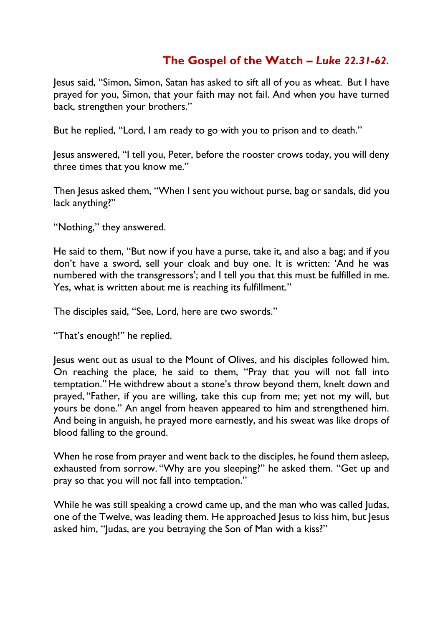### **The Gospel of the Watch –** *Luke 22.31-62.*

Jesus said, "Simon, Simon, Satan has asked to sift all of you as wheat. But I have prayed for you, Simon, that your faith may not fail. And when you have turned back, strengthen your brothers."

But he replied, "Lord, I am ready to go with you to prison and to death."

Jesus answered, "I tell you, Peter, before the rooster crows today, you will deny three times that you know me."

Then Jesus asked them, "When I sent you without purse, bag or sandals, did you lack anything?"

"Nothing," they answered.

He said to them, "But now if you have a purse, take it, and also a bag; and if you don't have a sword, sell your cloak and buy one. It is written: 'And he was numbered with the transgressors'; and I tell you that this must be fulfilled in me. Yes, what is written about me is reaching its fulfillment."

The disciples said, "See, Lord, here are two swords."

"That's enough!" he replied.

Jesus went out as usual to the Mount of Olives, and his disciples followed him. On reaching the place, he said to them, "Pray that you will not fall into temptation." He withdrew about a stone's throw beyond them, knelt down and prayed, "Father, if you are willing, take this cup from me; yet not my will, but yours be done." An angel from heaven appeared to him and strengthened him. And being in anguish, he prayed more earnestly, and his sweat was like drops of blood falling to the ground.

When he rose from prayer and went back to the disciples, he found them asleep, exhausted from sorrow. "Why are you sleeping?" he asked them. "Get up and pray so that you will not fall into temptation."

While he was still speaking a crowd came up, and the man who was called Judas, one of the Twelve, was leading them. He approached Jesus to kiss him, but Jesus asked him, "Judas, are you betraying the Son of Man with a kiss?"